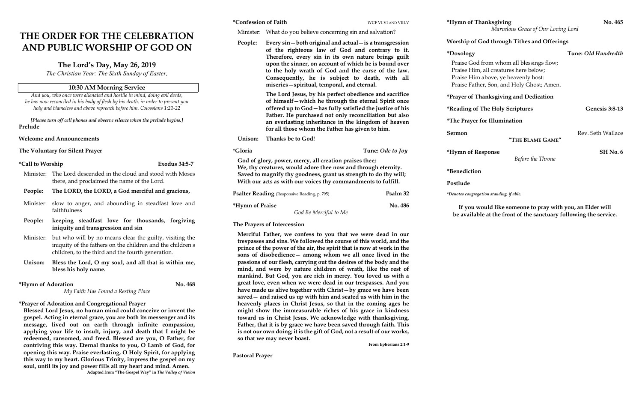# THE ORDER FOR THE CELEBRATION AND PUBLIC WORSHIP OF GOD ON

# The Lord's Day, May 26, 2019

The Christian Year: The Sixth Sunday of Easter,

### 10:30 AM Morning Service

And you, who once were alienated and hostile in mind, doing evil deeds, he has now reconciled in his body of flesh by his death, in order to present you holy and blameless and above reproach before him. Colossians 1:21-22

[Please turn off cell phones and observe silence when the prelude begins.] Prelude

Welcome and Announcements

The Voluntary for Silent Prayer

#### \*Call to Worship Exodus 34:5-7

- Minister: The Lord descended in the cloud and stood with Moses there, and proclaimed the name of the Lord.
- People: The LORD, the LORD, a God merciful and gracious,
- Minister: slow to anger, and abounding in steadfast love and faithfulness
- People: keeping steadfast love for thousands, forgiving iniquity and transgression and sin
- Minister: but who will by no means clear the guilty, visiting the iniquity of the fathers on the children and the children's children, to the third and the fourth generation.
- Unison: Bless the Lord, O my soul, and all that is within me, bless his holy name.

My Faith Has Found a Resting Place

\*Hymn of Adoration No. 468

\*Prayer of Adoration and Congregational Prayer

Blessed Lord Jesus, no human mind could conceive or invent the gospel. Acting in eternal grace, you are both its messenger and its message, lived out on earth through infinite compassion, applying your life to insult, injury, and death that I might be redeemed, ransomed, and freed. Blessed are you, O Father, for contriving this way. Eternal thanks to you, O Lamb of God, for opening this way. Praise everlasting, O Holy Spirit, for applying this way to my heart. Glorious Trinity, impress the gospel on my soul, until its joy and power fills all my heart and mind. Amen. Adapted from "The Gospel Way" in The Valley of Vision

#### The Prayers of Intercession

| *Confession of Faith                                                                                                              |                                                                                                                                                                                                                                                                                                                                                                                    | WCF VI.VI AND VIII.V                                                                                                                                            | *Hymn of Thanksgiving                                                                                                                                                 | No. 465               |
|-----------------------------------------------------------------------------------------------------------------------------------|------------------------------------------------------------------------------------------------------------------------------------------------------------------------------------------------------------------------------------------------------------------------------------------------------------------------------------------------------------------------------------|-----------------------------------------------------------------------------------------------------------------------------------------------------------------|-----------------------------------------------------------------------------------------------------------------------------------------------------------------------|-----------------------|
|                                                                                                                                   | Minister: What do you believe concerning sin and salvation?                                                                                                                                                                                                                                                                                                                        |                                                                                                                                                                 | Marvelous Grace of Our Loving Lord                                                                                                                                    |                       |
| People:                                                                                                                           | Every sin – both original and actual – is a transgression<br>of the righteous law of God and contrary to it.<br>Therefore, every sin in its own nature brings guilt<br>upon the sinner, on account of which he is bound over<br>to the holy wrath of God and the curse of the law.<br>Consequently, he is subject to death, with all<br>miseries-spiritual, temporal, and eternal. |                                                                                                                                                                 | <b>Worship of God through Tithes and Offerings</b>                                                                                                                    |                       |
|                                                                                                                                   |                                                                                                                                                                                                                                                                                                                                                                                    |                                                                                                                                                                 | *Doxology                                                                                                                                                             | Tune: Old Hundredth   |
|                                                                                                                                   |                                                                                                                                                                                                                                                                                                                                                                                    |                                                                                                                                                                 | Praise God from whom all blessings flow;<br>Praise Him, all creatures here below;<br>Praise Him above, ye heavenly host:<br>Praise Father, Son, and Holy Ghost; Amen. |                       |
|                                                                                                                                   | The Lord Jesus, by his perfect obedience and sacrifice<br>of himself-which he through the eternal Spirit once                                                                                                                                                                                                                                                                      |                                                                                                                                                                 | *Prayer of Thanksgiving and Dedication                                                                                                                                |                       |
|                                                                                                                                   | offered up to God-has fully satisfied the justice of his                                                                                                                                                                                                                                                                                                                           |                                                                                                                                                                 | *Reading of The Holy Scriptures                                                                                                                                       | <b>Genesis 3:8-13</b> |
|                                                                                                                                   |                                                                                                                                                                                                                                                                                                                                                                                    | Father. He purchased not only reconciliation but also<br>an everlasting inheritance in the kingdom of heaven<br>for all those whom the Father has given to him. | <i>*The Prayer for Illumination</i>                                                                                                                                   |                       |
| Unison:                                                                                                                           | Thanks be to God!                                                                                                                                                                                                                                                                                                                                                                  |                                                                                                                                                                 | Sermon<br>"THE BLAME GAME"                                                                                                                                            | Rev. Seth Wallace     |
| *Gloria                                                                                                                           |                                                                                                                                                                                                                                                                                                                                                                                    | Tune: Ode to Joy                                                                                                                                                | *Hymn of Response                                                                                                                                                     | <b>SH No. 6</b>       |
| God of glory, power, mercy, all creation praises thee;                                                                            |                                                                                                                                                                                                                                                                                                                                                                                    | Before the Throne                                                                                                                                               |                                                                                                                                                                       |                       |
| We, thy creatures, would adore thee now and through eternity.<br>Saved to magnify thy goodness, grant us strength to do thy will; | *Benediction                                                                                                                                                                                                                                                                                                                                                                       |                                                                                                                                                                 |                                                                                                                                                                       |                       |
| With our acts as with our voices thy commandments to fulfill.                                                                     |                                                                                                                                                                                                                                                                                                                                                                                    | Postlude                                                                                                                                                        |                                                                                                                                                                       |                       |
| Psalm 32<br><b>Psalter Reading</b> (Responsive Reading, p. 795)                                                                   |                                                                                                                                                                                                                                                                                                                                                                                    | *Denotes congregation standing, if able.                                                                                                                        |                                                                                                                                                                       |                       |
| *Hymn of Praise<br>God Be Merciful to Me                                                                                          |                                                                                                                                                                                                                                                                                                                                                                                    | No. 486                                                                                                                                                         | If you would like someone to pray with you, an Elder will<br>he available at the front of the sanctuary following the service                                         |                       |

Merciful Father, we confess to you that we were dead in our trespasses and sins. We followed the course of this world, and the prince of the power of the air, the spirit that is now at work in the sons of disobedience— among whom we all once lived in the passions of our flesh, carrying out the desires of the body and the mind, and were by nature children of wrath, like the rest of mankind. But God, you are rich in mercy. You loved us with a great love, even when we were dead in our trespasses. And you have made us alive together with Christ—by grace we have been saved— and raised us up with him and seated us with him in the heavenly places in Christ Jesus, so that in the coming ages he might show the immeasurable riches of his grace in kindness toward us in Christ Jesus. We acknowledge with thanksgiving, Father, that it is by grace we have been saved through faith. This is not our own doing; it is the gift of God, not a result of our works, so that we may never boast.

From Ephesians 2:1-9

Pastoral Prayer

be available at the front of the sanctuary following the service.